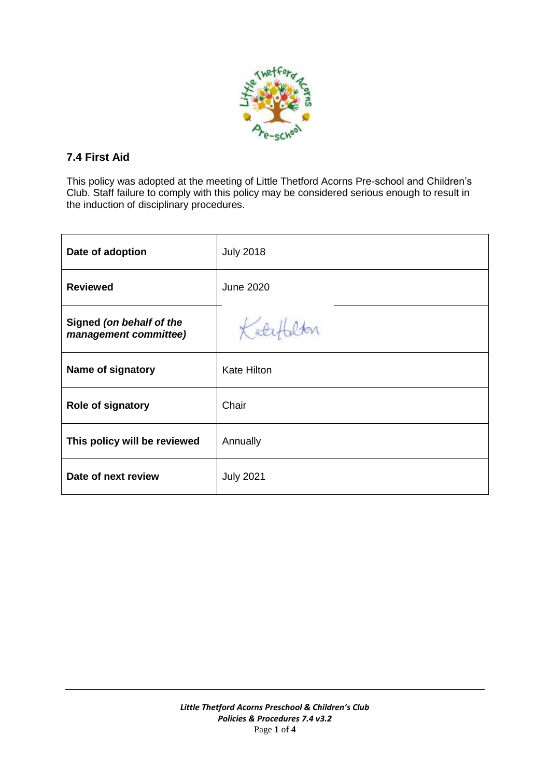

# **7.4 First Aid**

This policy was adopted at the meeting of Little Thetford Acorns Pre-school and Children's Club. Staff failure to comply with this policy may be considered serious enough to result in the induction of disciplinary procedures.

| Date of adoption                                  | <b>July 2018</b>   |
|---------------------------------------------------|--------------------|
| <b>Reviewed</b>                                   | <b>June 2020</b>   |
| Signed (on behalf of the<br>management committee) | Koty               |
| Name of signatory                                 | <b>Kate Hilton</b> |
| <b>Role of signatory</b>                          | Chair              |
| This policy will be reviewed                      | Annually           |
| Date of next review                               | <b>July 2021</b>   |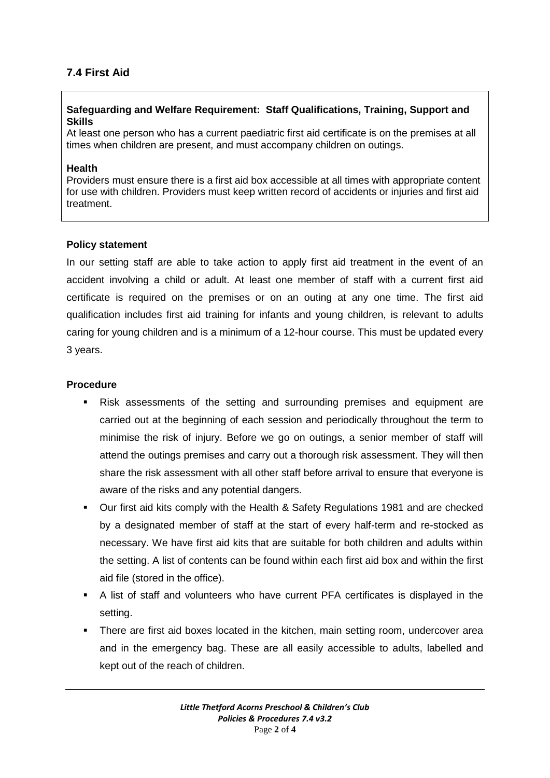# **7.4 First Aid**

## **Safeguarding and Welfare Requirement: Staff Qualifications, Training, Support and Skills**

At least one person who has a current paediatric first aid certificate is on the premises at all times when children are present, and must accompany children on outings.

#### **Health**

Providers must ensure there is a first aid box accessible at all times with appropriate content for use with children. Providers must keep written record of accidents or injuries and first aid treatment.

#### **Policy statement**

In our setting staff are able to take action to apply first aid treatment in the event of an accident involving a child or adult. At least one member of staff with a current first aid certificate is required on the premises or on an outing at any one time. The first aid qualification includes first aid training for infants and young children, is relevant to adults caring for young children and is a minimum of a 12-hour course. This must be updated every 3 years.

#### **Procedure**

- Risk assessments of the setting and surrounding premises and equipment are carried out at the beginning of each session and periodically throughout the term to minimise the risk of injury. Before we go on outings, a senior member of staff will attend the outings premises and carry out a thorough risk assessment. They will then share the risk assessment with all other staff before arrival to ensure that everyone is aware of the risks and any potential dangers.
- Our first aid kits comply with the Health & Safety Regulations 1981 and are checked by a designated member of staff at the start of every half-term and re-stocked as necessary. We have first aid kits that are suitable for both children and adults within the setting. A list of contents can be found within each first aid box and within the first aid file (stored in the office).
- A list of staff and volunteers who have current PFA certificates is displayed in the setting.
- There are first aid boxes located in the kitchen, main setting room, undercover area and in the emergency bag. These are all easily accessible to adults, labelled and kept out of the reach of children.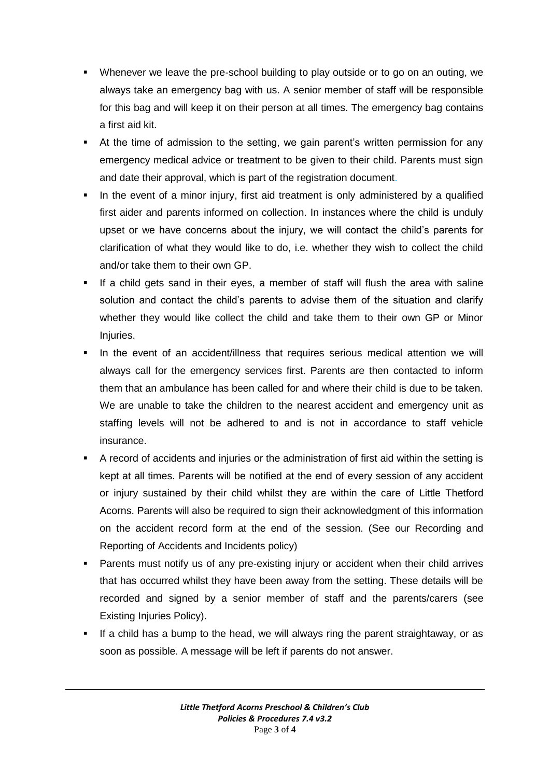- Whenever we leave the pre-school building to play outside or to go on an outing, we always take an emergency bag with us. A senior member of staff will be responsible for this bag and will keep it on their person at all times. The emergency bag contains a first aid kit.
- At the time of admission to the setting, we gain parent's written permission for any emergency medical advice or treatment to be given to their child. Parents must sign and date their approval, which is part of the registration document.
- In the event of a minor injury, first aid treatment is only administered by a qualified first aider and parents informed on collection. In instances where the child is unduly upset or we have concerns about the injury, we will contact the child's parents for clarification of what they would like to do, i.e. whether they wish to collect the child and/or take them to their own GP.
- If a child gets sand in their eyes, a member of staff will flush the area with saline solution and contact the child's parents to advise them of the situation and clarify whether they would like collect the child and take them to their own GP or Minor Injuries.
- In the event of an accident/illness that requires serious medical attention we will always call for the emergency services first. Parents are then contacted to inform them that an ambulance has been called for and where their child is due to be taken. We are unable to take the children to the nearest accident and emergency unit as staffing levels will not be adhered to and is not in accordance to staff vehicle insurance.
- A record of accidents and injuries or the administration of first aid within the setting is kept at all times. Parents will be notified at the end of every session of any accident or injury sustained by their child whilst they are within the care of Little Thetford Acorns. Parents will also be required to sign their acknowledgment of this information on the accident record form at the end of the session. (See our Recording and Reporting of Accidents and Incidents policy)
- Parents must notify us of any pre-existing injury or accident when their child arrives that has occurred whilst they have been away from the setting. These details will be recorded and signed by a senior member of staff and the parents/carers (see Existing Injuries Policy).
- **If a child has a bump to the head, we will always ring the parent straightaway, or as** soon as possible. A message will be left if parents do not answer.